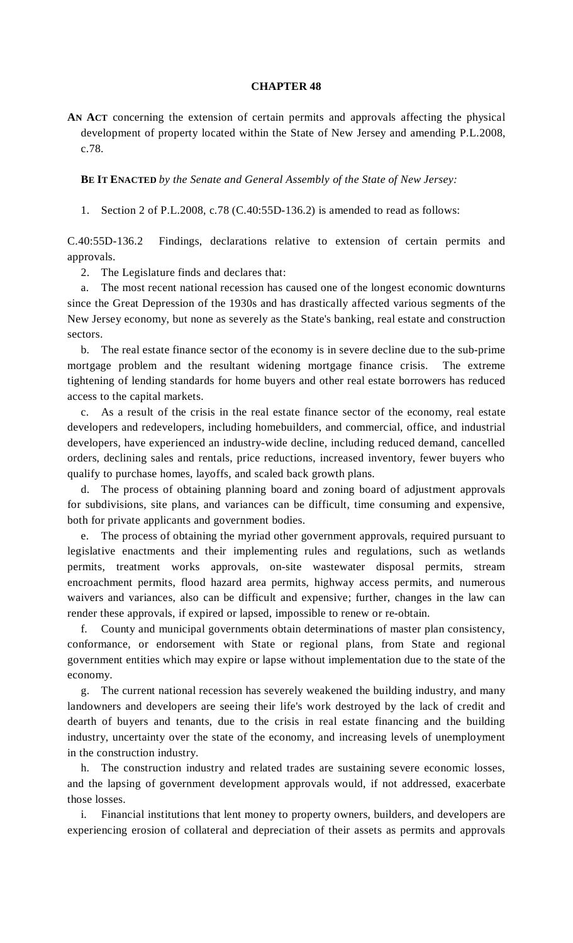## **CHAPTER 48**

**AN ACT** concerning the extension of certain permits and approvals affecting the physical development of property located within the State of New Jersey and amending P.L.2008, c.78.

**BE IT ENACTED** *by the Senate and General Assembly of the State of New Jersey:*

1. Section 2 of P.L.2008, c.78 (C.40:55D-136.2) is amended to read as follows:

C.40:55D-136.2 Findings, declarations relative to extension of certain permits and approvals.

2. The Legislature finds and declares that:

 a. The most recent national recession has caused one of the longest economic downturns since the Great Depression of the 1930s and has drastically affected various segments of the New Jersey economy, but none as severely as the State's banking, real estate and construction sectors.

 b. The real estate finance sector of the economy is in severe decline due to the sub-prime mortgage problem and the resultant widening mortgage finance crisis. The extreme tightening of lending standards for home buyers and other real estate borrowers has reduced access to the capital markets.

 c. As a result of the crisis in the real estate finance sector of the economy, real estate developers and redevelopers, including homebuilders, and commercial, office, and industrial developers, have experienced an industry-wide decline, including reduced demand, cancelled orders, declining sales and rentals, price reductions, increased inventory, fewer buyers who qualify to purchase homes, layoffs, and scaled back growth plans.

 d. The process of obtaining planning board and zoning board of adjustment approvals for subdivisions, site plans, and variances can be difficult, time consuming and expensive, both for private applicants and government bodies.

 e. The process of obtaining the myriad other government approvals, required pursuant to legislative enactments and their implementing rules and regulations, such as wetlands permits, treatment works approvals, on-site wastewater disposal permits, stream encroachment permits, flood hazard area permits, highway access permits, and numerous waivers and variances, also can be difficult and expensive; further, changes in the law can render these approvals, if expired or lapsed, impossible to renew or re-obtain.

 f. County and municipal governments obtain determinations of master plan consistency, conformance, or endorsement with State or regional plans, from State and regional government entities which may expire or lapse without implementation due to the state of the economy.

 g. The current national recession has severely weakened the building industry, and many landowners and developers are seeing their life's work destroyed by the lack of credit and dearth of buyers and tenants, due to the crisis in real estate financing and the building industry, uncertainty over the state of the economy, and increasing levels of unemployment in the construction industry.

 h. The construction industry and related trades are sustaining severe economic losses, and the lapsing of government development approvals would, if not addressed, exacerbate those losses.

 i. Financial institutions that lent money to property owners, builders, and developers are experiencing erosion of collateral and depreciation of their assets as permits and approvals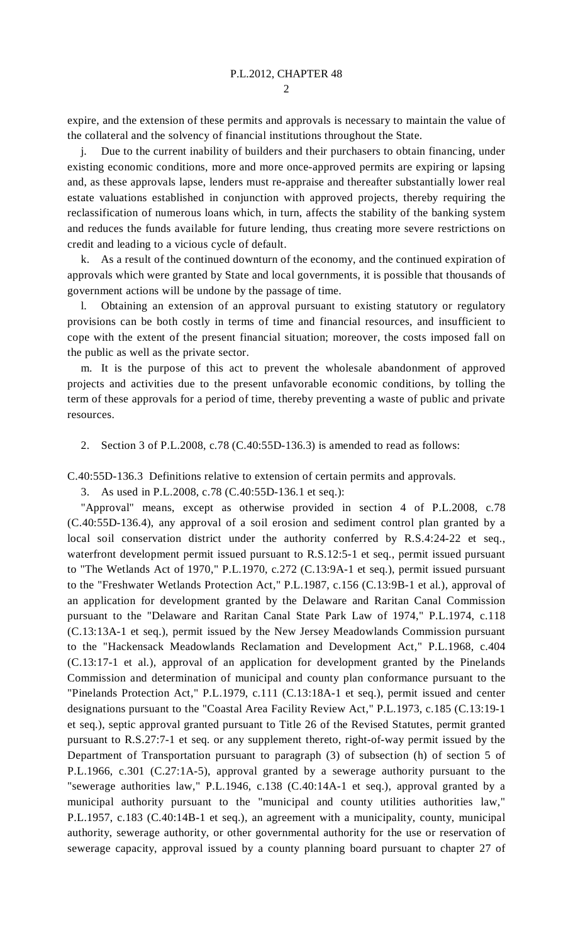$\mathcal{D}$ 

expire, and the extension of these permits and approvals is necessary to maintain the value of the collateral and the solvency of financial institutions throughout the State.

 j. Due to the current inability of builders and their purchasers to obtain financing, under existing economic conditions, more and more once-approved permits are expiring or lapsing and, as these approvals lapse, lenders must re-appraise and thereafter substantially lower real estate valuations established in conjunction with approved projects, thereby requiring the reclassification of numerous loans which, in turn, affects the stability of the banking system and reduces the funds available for future lending, thus creating more severe restrictions on credit and leading to a vicious cycle of default.

 k. As a result of the continued downturn of the economy, and the continued expiration of approvals which were granted by State and local governments, it is possible that thousands of government actions will be undone by the passage of time.

 l. Obtaining an extension of an approval pursuant to existing statutory or regulatory provisions can be both costly in terms of time and financial resources, and insufficient to cope with the extent of the present financial situation; moreover, the costs imposed fall on the public as well as the private sector.

 m. It is the purpose of this act to prevent the wholesale abandonment of approved projects and activities due to the present unfavorable economic conditions, by tolling the term of these approvals for a period of time, thereby preventing a waste of public and private resources.

2. Section 3 of P.L.2008, c.78 (C.40:55D-136.3) is amended to read as follows:

C.40:55D-136.3 Definitions relative to extension of certain permits and approvals.

3. As used in P.L.2008, c.78 (C.40:55D-136.1 et seq.):

 "Approval" means, except as otherwise provided in section 4 of P.L.2008, c.78 (C.40:55D-136.4), any approval of a soil erosion and sediment control plan granted by a local soil conservation district under the authority conferred by R.S.4:24-22 et seq., waterfront development permit issued pursuant to R.S.12:5-1 et seq., permit issued pursuant to "The Wetlands Act of 1970," P.L.1970, c.272 (C.13:9A-1 et seq.), permit issued pursuant to the "Freshwater Wetlands Protection Act," P.L.1987, c.156 (C.13:9B-1 et al.), approval of an application for development granted by the Delaware and Raritan Canal Commission pursuant to the "Delaware and Raritan Canal State Park Law of 1974," P.L.1974, c.118 (C.13:13A-1 et seq.), permit issued by the New Jersey Meadowlands Commission pursuant to the "Hackensack Meadowlands Reclamation and Development Act," P.L.1968, c.404 (C.13:17-1 et al.), approval of an application for development granted by the Pinelands Commission and determination of municipal and county plan conformance pursuant to the "Pinelands Protection Act," P.L.1979, c.111 (C.13:18A-1 et seq.), permit issued and center designations pursuant to the "Coastal Area Facility Review Act," P.L.1973, c.185 (C.13:19-1 et seq.), septic approval granted pursuant to Title 26 of the Revised Statutes, permit granted pursuant to R.S.27:7-1 et seq. or any supplement thereto, right-of-way permit issued by the Department of Transportation pursuant to paragraph (3) of subsection (h) of section 5 of P.L.1966, c.301 (C.27:1A-5), approval granted by a sewerage authority pursuant to the "sewerage authorities law," P.L.1946, c.138 (C.40:14A-1 et seq.), approval granted by a municipal authority pursuant to the "municipal and county utilities authorities law," P.L.1957, c.183 (C.40:14B-1 et seq.), an agreement with a municipality, county, municipal authority, sewerage authority, or other governmental authority for the use or reservation of sewerage capacity, approval issued by a county planning board pursuant to chapter 27 of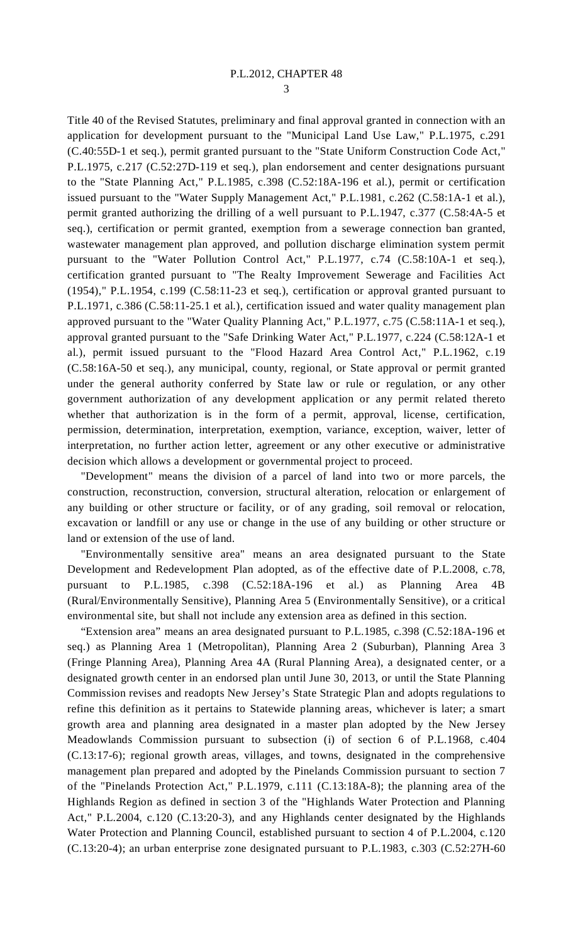3

Title 40 of the Revised Statutes, preliminary and final approval granted in connection with an application for development pursuant to the "Municipal Land Use Law," P.L.1975, c.291 (C.40:55D-1 et seq.), permit granted pursuant to the "State Uniform Construction Code Act," P.L.1975, c.217 (C.52:27D-119 et seq.), plan endorsement and center designations pursuant to the "State Planning Act," P.L.1985, c.398 (C.52:18A-196 et al.), permit or certification issued pursuant to the "Water Supply Management Act," P.L.1981, c.262 (C.58:1A-1 et al.), permit granted authorizing the drilling of a well pursuant to P.L.1947, c.377 (C.58:4A-5 et seq.), certification or permit granted, exemption from a sewerage connection ban granted, wastewater management plan approved, and pollution discharge elimination system permit pursuant to the "Water Pollution Control Act," P.L.1977, c.74 (C.58:10A-1 et seq.), certification granted pursuant to "The Realty Improvement Sewerage and Facilities Act (1954)," P.L.1954, c.199 (C.58:11-23 et seq.), certification or approval granted pursuant to P.L.1971, c.386 (C.58:11-25.1 et al.), certification issued and water quality management plan approved pursuant to the "Water Quality Planning Act," P.L.1977, c.75 (C.58:11A-1 et seq.), approval granted pursuant to the "Safe Drinking Water Act," P.L.1977, c.224 (C.58:12A-1 et al.), permit issued pursuant to the "Flood Hazard Area Control Act," P.L.1962, c.19 (C.58:16A-50 et seq.), any municipal, county, regional, or State approval or permit granted under the general authority conferred by State law or rule or regulation, or any other government authorization of any development application or any permit related thereto whether that authorization is in the form of a permit, approval, license, certification, permission, determination, interpretation, exemption, variance, exception, waiver, letter of interpretation, no further action letter, agreement or any other executive or administrative decision which allows a development or governmental project to proceed.

 "Development" means the division of a parcel of land into two or more parcels, the construction, reconstruction, conversion, structural alteration, relocation or enlargement of any building or other structure or facility, or of any grading, soil removal or relocation, excavation or landfill or any use or change in the use of any building or other structure or land or extension of the use of land.

 "Environmentally sensitive area" means an area designated pursuant to the State Development and Redevelopment Plan adopted, as of the effective date of P.L.2008, c.78, pursuant to P.L.1985, c.398 (C.52:18A-196 et al.) as Planning Area 4B (Rural/Environmentally Sensitive), Planning Area 5 (Environmentally Sensitive), or a critical environmental site, but shall not include any extension area as defined in this section.

 "Extension area" means an area designated pursuant to P.L.1985, c.398 (C.52:18A-196 et seq.) as Planning Area 1 (Metropolitan), Planning Area 2 (Suburban), Planning Area 3 (Fringe Planning Area), Planning Area 4A (Rural Planning Area), a designated center, or a designated growth center in an endorsed plan until June 30, 2013, or until the State Planning Commission revises and readopts New Jersey's State Strategic Plan and adopts regulations to refine this definition as it pertains to Statewide planning areas, whichever is later; a smart growth area and planning area designated in a master plan adopted by the New Jersey Meadowlands Commission pursuant to subsection (i) of section 6 of P.L.1968, c.404 (C.13:17-6); regional growth areas, villages, and towns, designated in the comprehensive management plan prepared and adopted by the Pinelands Commission pursuant to section 7 of the "Pinelands Protection Act," P.L.1979, c.111 (C.13:18A-8); the planning area of the Highlands Region as defined in section 3 of the "Highlands Water Protection and Planning Act," P.L.2004, c.120 (C.13:20-3), and any Highlands center designated by the Highlands Water Protection and Planning Council, established pursuant to section 4 of P.L.2004, c.120 (C.13:20-4); an urban enterprise zone designated pursuant to P.L.1983, c.303 (C.52:27H-60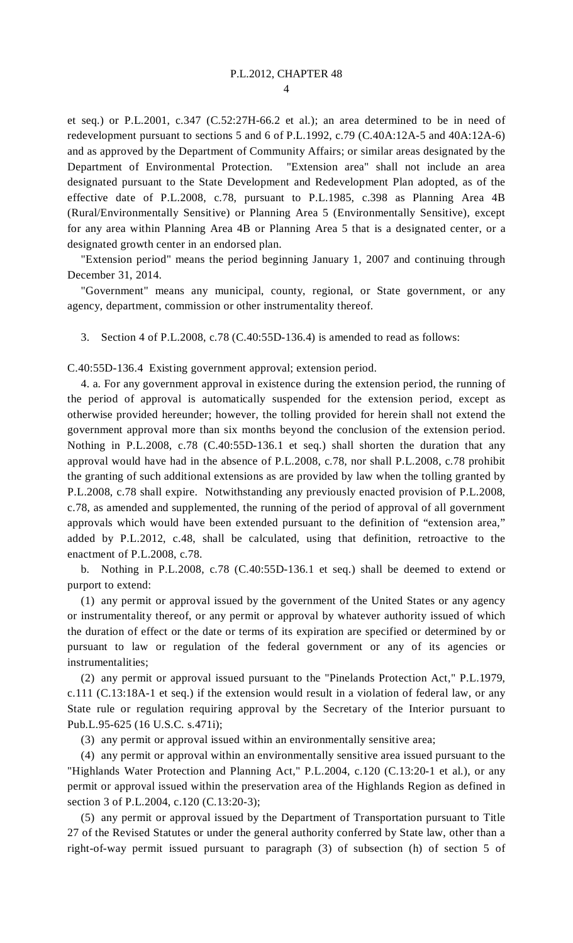$\overline{A}$ 

et seq.) or P.L.2001, c.347 (C.52:27H-66.2 et al.); an area determined to be in need of redevelopment pursuant to sections 5 and 6 of P.L.1992, c.79 (C.40A:12A-5 and 40A:12A-6) and as approved by the Department of Community Affairs; or similar areas designated by the Department of Environmental Protection. "Extension area" shall not include an area designated pursuant to the State Development and Redevelopment Plan adopted, as of the effective date of P.L.2008, c.78, pursuant to P.L.1985, c.398 as Planning Area 4B (Rural/Environmentally Sensitive) or Planning Area 5 (Environmentally Sensitive), except for any area within Planning Area 4B or Planning Area 5 that is a designated center, or a designated growth center in an endorsed plan.

 "Extension period" means the period beginning January 1, 2007 and continuing through December 31, 2014.

 "Government" means any municipal, county, regional, or State government, or any agency, department, commission or other instrumentality thereof.

3. Section 4 of P.L.2008, c.78 (C.40:55D-136.4) is amended to read as follows:

C.40:55D-136.4 Existing government approval; extension period.

 4. a. For any government approval in existence during the extension period, the running of the period of approval is automatically suspended for the extension period, except as otherwise provided hereunder; however, the tolling provided for herein shall not extend the government approval more than six months beyond the conclusion of the extension period. Nothing in P.L.2008, c.78 (C.40:55D-136.1 et seq.) shall shorten the duration that any approval would have had in the absence of P.L.2008, c.78, nor shall P.L.2008, c.78 prohibit the granting of such additional extensions as are provided by law when the tolling granted by P.L.2008, c.78 shall expire. Notwithstanding any previously enacted provision of P.L.2008, c.78, as amended and supplemented, the running of the period of approval of all government approvals which would have been extended pursuant to the definition of "extension area," added by P.L.2012, c.48, shall be calculated, using that definition, retroactive to the enactment of P.L.2008, c.78.

 b. Nothing in P.L.2008, c.78 (C.40:55D-136.1 et seq.) shall be deemed to extend or purport to extend:

 (1) any permit or approval issued by the government of the United States or any agency or instrumentality thereof, or any permit or approval by whatever authority issued of which the duration of effect or the date or terms of its expiration are specified or determined by or pursuant to law or regulation of the federal government or any of its agencies or instrumentalities;

 (2) any permit or approval issued pursuant to the "Pinelands Protection Act," P.L.1979, c.111 (C.13:18A-1 et seq.) if the extension would result in a violation of federal law, or any State rule or regulation requiring approval by the Secretary of the Interior pursuant to Pub.L.95-625 (16 U.S.C. s.471i);

(3) any permit or approval issued within an environmentally sensitive area;

 (4) any permit or approval within an environmentally sensitive area issued pursuant to the "Highlands Water Protection and Planning Act," P.L.2004, c.120 (C.13:20-1 et al.), or any permit or approval issued within the preservation area of the Highlands Region as defined in section 3 of P.L.2004, c.120 (C.13:20-3);

 (5) any permit or approval issued by the Department of Transportation pursuant to Title 27 of the Revised Statutes or under the general authority conferred by State law, other than a right-of-way permit issued pursuant to paragraph (3) of subsection (h) of section 5 of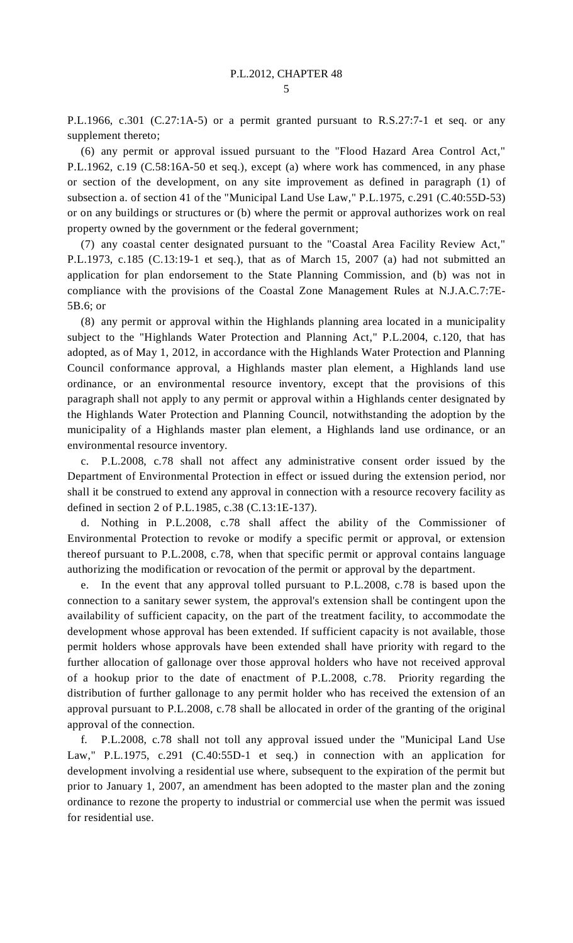P.L.1966, c.301 (C.27:1A-5) or a permit granted pursuant to R.S.27:7-1 et seq. or any supplement thereto;

 (6) any permit or approval issued pursuant to the "Flood Hazard Area Control Act," P.L.1962, c.19 (C.58:16A-50 et seq.), except (a) where work has commenced, in any phase or section of the development, on any site improvement as defined in paragraph (1) of subsection a. of section 41 of the "Municipal Land Use Law," P.L.1975, c.291 (C.40:55D-53) or on any buildings or structures or (b) where the permit or approval authorizes work on real property owned by the government or the federal government;

 (7) any coastal center designated pursuant to the "Coastal Area Facility Review Act," P.L.1973, c.185 (C.13:19-1 et seq.), that as of March 15, 2007 (a) had not submitted an application for plan endorsement to the State Planning Commission, and (b) was not in compliance with the provisions of the Coastal Zone Management Rules at N.J.A.C.7:7E-5B.6; or

 (8) any permit or approval within the Highlands planning area located in a municipality subject to the "Highlands Water Protection and Planning Act," P.L.2004, c.120, that has adopted, as of May 1, 2012, in accordance with the Highlands Water Protection and Planning Council conformance approval, a Highlands master plan element, a Highlands land use ordinance, or an environmental resource inventory, except that the provisions of this paragraph shall not apply to any permit or approval within a Highlands center designated by the Highlands Water Protection and Planning Council, notwithstanding the adoption by the municipality of a Highlands master plan element, a Highlands land use ordinance, or an environmental resource inventory.

 c. P.L.2008, c.78 shall not affect any administrative consent order issued by the Department of Environmental Protection in effect or issued during the extension period, nor shall it be construed to extend any approval in connection with a resource recovery facility as defined in section 2 of P.L.1985, c.38 (C.13:1E-137).

 d. Nothing in P.L.2008, c.78 shall affect the ability of the Commissioner of Environmental Protection to revoke or modify a specific permit or approval, or extension thereof pursuant to P.L.2008, c.78, when that specific permit or approval contains language authorizing the modification or revocation of the permit or approval by the department.

 e. In the event that any approval tolled pursuant to P.L.2008, c.78 is based upon the connection to a sanitary sewer system, the approval's extension shall be contingent upon the availability of sufficient capacity, on the part of the treatment facility, to accommodate the development whose approval has been extended. If sufficient capacity is not available, those permit holders whose approvals have been extended shall have priority with regard to the further allocation of gallonage over those approval holders who have not received approval of a hookup prior to the date of enactment of P.L.2008, c.78. Priority regarding the distribution of further gallonage to any permit holder who has received the extension of an approval pursuant to P.L.2008, c.78 shall be allocated in order of the granting of the original approval of the connection.

 f. P.L.2008, c.78 shall not toll any approval issued under the "Municipal Land Use Law," P.L.1975, c.291 (C.40:55D-1 et seq.) in connection with an application for development involving a residential use where, subsequent to the expiration of the permit but prior to January 1, 2007, an amendment has been adopted to the master plan and the zoning ordinance to rezone the property to industrial or commercial use when the permit was issued for residential use.